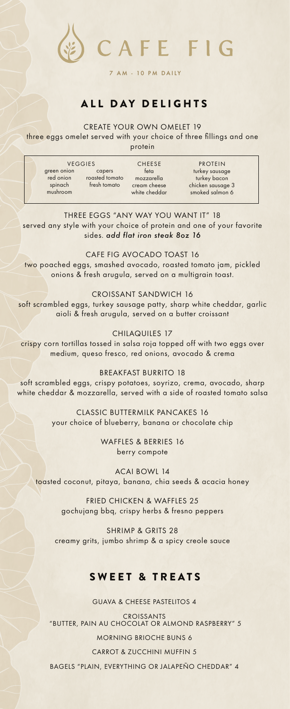

#### 7 AM - 10 PM DAILY

# ALL DAY DELIGHTS

#### CREATE YOUR OWN OMELET 19

three eggs omelet served with your choice of three fillings and one protein

VEGGIES CHEESE feta mozzarella cream cheese white cheddar PROTEIN turkey sausage turkey bacon chicken sausage 3 smoked salmon 6 green onion red onion spinach mushroom capers roasted tomato fresh tomato

THREE EGGS "ANY WAY YOU WANT IT" 18 served any style with your choice of protein and one of your favorite sides. *add flat iron steak 8oz 16*

CAFE FIG AVOCADO TOAST 16 two poached eggs, smashed avocado, roasted tomato jam, pickled onions & fresh arugula, served on a multigrain toast.

CROISSANT SANDWICH 16 soft scrambled eggs, turkey sausage patty, sharp white cheddar, garlic aioli & fresh arugula, served on a butter croissant

CHILAQUILES 17 crispy corn tortillas tossed in salsa roja topped off with two eggs over medium, queso fresco, red onions, avocado & crema

BREAKFAST BURRITO 18 soft scrambled eggs, crispy potatoes, soyrizo, crema, avocado, sharp white cheddar & mozzarella, served with a side of roasted tomato salsa

> CLASSIC BUTTERMILK PANCAKES 16 your choice of blueberry, banana or chocolate chip

> > WAFFLES & BERRIES 16 berry compote

ACAI BOWL 14 toasted coconut, pitaya, banana, chia seeds & acacia honey

> FRIED CHICKEN & WAFFLES 25 gochujang bbq, crispy herbs & fresno peppers

SHRIMP & GRITS 28 creamy grits, jumbo shrimp & a spicy creole sauce

## SWEET & TREATS

GUAVA & CHEESE PASTELITOS 4

CROISSANTS "BUTTER, PAIN AU CHOCOLAT OR ALMOND RASPBERRY" 5 MORNING BRIOCHE BUNS 6 CARROT & ZUCCHINI MUFFIN 5 BAGELS "PLAIN, EVERYTHING OR JALAPEÑO CHEDDAR" 4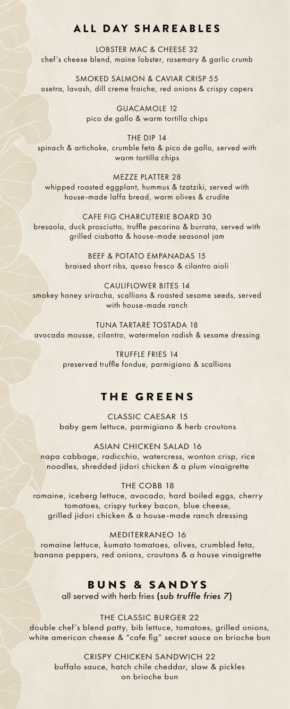# ALL DAY SHAREABLES

LOBSTER MAC & CHEESE 32 chef's cheese blend, maine lobster, rosemary & garlic crumb

SMOKED SALMON & CAVIAR CRISP 55 osetra, lavash, dill creme fraiche, red onions & crispy capers

> GUACAMOLE 12 pico de gallo & warm tortilla chips

THE DIP 14 spinach & artichoke, crumble feta & pico de gallo, served with warm tortilla chips

MEZZE PLATTER 28 whipped roasted eggplant, hummus & tzatziki, served with house-made laffa bread, warm olives & crudite

CAFE FIG CHARCUTERIE BOARD 30 bresaola, duck prosciutto, truffle pecorino & burrata, served with grilled ciabatta & house-made seasonal jam

> BEEF & POTATO EMPANADAS 15 braised short ribs, queso fresco & cilantro aioli

CAULIFLOWER BITES 14 smokey honey sriracha, scallions & roasted sesame seeds, served with house-made ranch

TUNA TARTARE TOSTADA 18 avocado mousse, cilantro, watermelon radish & sesame dressing

> TRUFFLE FRIES 14 preserved truffle fondue, parmigiano & scallions

#### THE GREENS

CLASSIC CAESAR 15 baby gem lettuce, parmigiano & herb croutons

ASIAN CHICKEN SALAD 16 napa cabbage, radicchio, watercress, wonton crisp, rice noodles, shredded jidori chicken & a plum vinaigrette

#### THE COBB 18

romaine, iceberg lettuce, avocado, hard boiled eggs, cherry tomatoes, crispy turkey bacon, blue cheese, grilled jidori chicken & a house-made ranch dressing

MEDITERRANEO 16 romaine lettuce, kumato tomatoes, olives, crumbled feta, banana peppers, red onions, croutons & a house vinaigrette

### BUNS & SANDYS

all served with herb fries (*sub truffle fries 7*)

THE CLASSIC BURGER 22 double chef's blend patty, bib lettuce, tomatoes, grilled onions, white american cheese & "cafe fig" secret sauce on brioche bun

> CRISPY CHICKEN SANDWICH 22 buffalo sauce, hatch chile cheddar, slaw & pickles on brioche bun